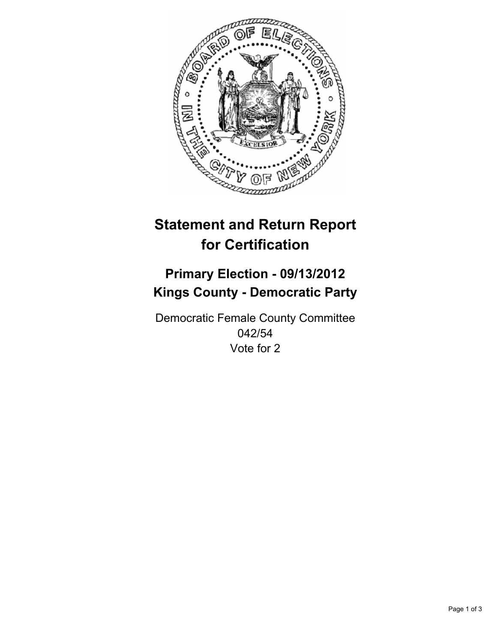

# **Statement and Return Report for Certification**

## **Primary Election - 09/13/2012 Kings County - Democratic Party**

Democratic Female County Committee 042/54 Vote for 2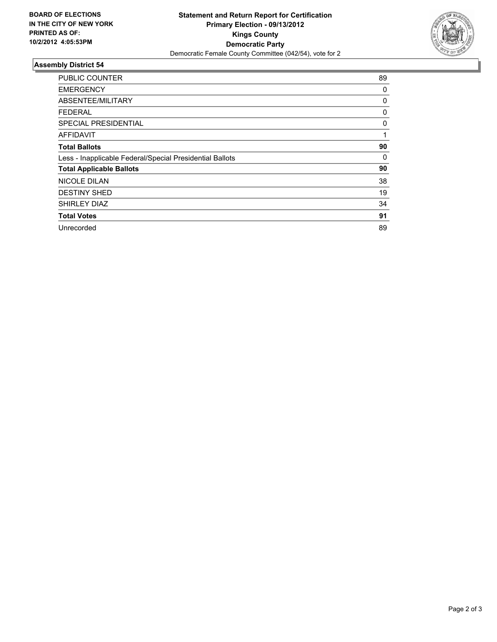

### **Assembly District 54**

| <b>PUBLIC COUNTER</b>                                    | 89 |
|----------------------------------------------------------|----|
| <b>EMERGENCY</b>                                         | 0  |
| ABSENTEE/MILITARY                                        | 0  |
| FEDERAL                                                  | 0  |
| SPECIAL PRESIDENTIAL                                     | 0  |
| <b>AFFIDAVIT</b>                                         | 1  |
| <b>Total Ballots</b>                                     | 90 |
| Less - Inapplicable Federal/Special Presidential Ballots | 0  |
| <b>Total Applicable Ballots</b>                          | 90 |
| <b>NICOLE DILAN</b>                                      | 38 |
| <b>DESTINY SHED</b>                                      | 19 |
| <b>SHIRLEY DIAZ</b>                                      | 34 |
| <b>Total Votes</b>                                       | 91 |
| Unrecorded                                               | 89 |